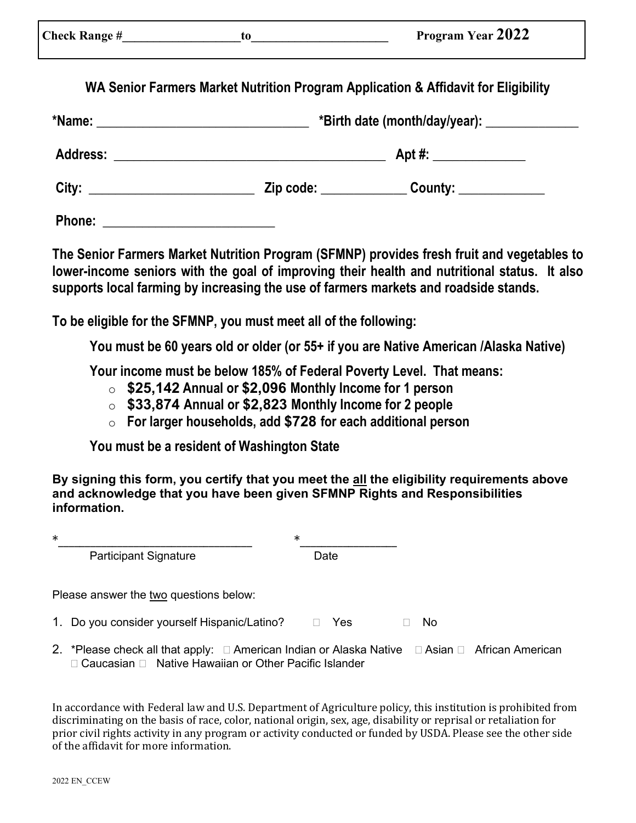| ck Range # |  |
|------------|--|
|------------|--|

Check Range # The Left Check Range #  $\qquad \qquad$  to  $\qquad \qquad$  Program Year 2022

**WA Senior Farmers Market Nutrition Program Application & Affidavit for Eligibility**

| *Name:          | <u> 1989 - Johann Barbara, martxa al III-lea (h. 1989).</u>                                                          | *Birth date (month/day/year): ________________ |  |  |  |  |
|-----------------|----------------------------------------------------------------------------------------------------------------------|------------------------------------------------|--|--|--|--|
| <b>Address:</b> | <u> 1989 - Johann Stein, marwolaethau a bhann an t-Amhair ann an t-Amhair an t-Amhair an t-Amhair an t-Amhair an</u> |                                                |  |  |  |  |
|                 | Zip code: The contract of the contract of the contract of the contract of the contract of the contract of the c      | $\overline{\phantom{a}}$ County: ____________  |  |  |  |  |
| <b>Phone:</b>   |                                                                                                                      |                                                |  |  |  |  |

**The Senior Farmers Market Nutrition Program (SFMNP) provides fresh fruit and vegetables to lower-income seniors with the goal of improving their health and nutritional status. It also supports local farming by increasing the use of farmers markets and roadside stands.**

**To be eligible for the SFMNP, you must meet all of the following:** 

**You must be 60 years old or older (or 55+ if you are Native American /Alaska Native)**

**Your income must be below 185% of Federal Poverty Level. That means:**

- o **\$25,142 Annual or \$2,096 Monthly Income for 1 person**
- o **\$33,874 Annual or \$2,823 Monthly Income for 2 people**
- o **For larger households, add \$728 for each additional person**

**You must be a resident of Washington State**

**By signing this form, you certify that you meet the all the eligibility requirements above and acknowledge that you have been given SFMNP Rights and Responsibilities information.**

| $\ast$ |                                                                                                | $\ast$ |            |  |     |  |
|--------|------------------------------------------------------------------------------------------------|--------|------------|--|-----|--|
|        | <b>Participant Signature</b>                                                                   |        | Date       |  |     |  |
|        | Please answer the two questions below:                                                         |        |            |  |     |  |
|        | 1. Do you consider yourself Hispanic/Latino?                                                   |        | <b>Yes</b> |  | No. |  |
|        | 2. *Please check all that apply: □ American Indian or Alaska Native □ Asian □ African American |        |            |  |     |  |

 $\Box$  Caucasian  $\Box$  Native Hawaiian or Other Pacific Islander

In accordance with Federal law and U.S. Department of Agriculture policy, this institution is prohibited from discriminating on the basis of race, color, national origin, sex, age, disability or reprisal or retaliation for prior civil rights activity in any program or activity conducted or funded by USDA. Please see the other side of the affidavit for more information.